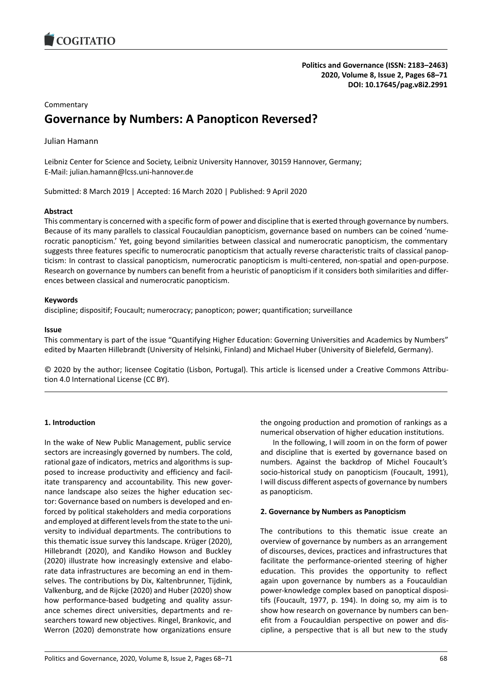

# **Commentary Governance by Numbers: A Panopticon Reversed?**

# Julian Hamann

Leibniz Center for Science and Society, Leibniz University Hannover, 30159 Hannover, Germany; E-Mail: julian.hamann@lcss.uni-hannover.de

Submitted: 8 March 2019 | Accepted: 16 March 2020 | Published: 9 April 2020

# **Abstract**

This commentary is concerned with a specific form of power and discipline that is exerted through governance by numbers. Because of its many parallels to classical Foucauldian panopticism, governance based on numbers can be coined 'numerocratic panopticism.' Yet, going beyond similarities between classical and numerocratic panopticism, the commentary suggests three features specific to numerocratic panopticism that actually reverse characteristic traits of classical panopticism: In contrast to classical panopticism, numerocratic panopticism is multi-centered, non-spatial and open-purpose. Research on governance by numbers can benefit from a heuristic of panopticism if it considers both similarities and differences between classical and numerocratic panopticism.

# **Keywords**

discipline; dispositif; Foucault; numerocracy; panopticon; power; quantification; surveillance

## **Issue**

This commentary is part of the issue "Quantifying Higher Education: Governing Universities and Academics by Numbers" edited by Maarten Hillebrandt (University of Helsinki, Finland) and Michael Huber (University of Bielefeld, Germany).

© 2020 by the author; licensee Cogitatio (Lisbon, Portugal). This article is licensed under a Creative Commons Attribution 4.0 International License (CC BY).

## **1. Introduction**

In the wake of New Public Management, public service sectors are increasingly governed by numbers. The cold, rational gaze of indicators, metrics and algorithms is supposed to increase productivity and efficiency and facilitate transparency and accountability. This new governance landscape also seizes the higher education sector: Governance based on numbers is developed and enforced by political stakeholders and media corporations and employed at different levels from the state to the university to individual departments. The contributions to this thematic issue survey this landscape. Krüger (2020), Hillebrandt (2020), and Kandiko Howson and Buckley (2020) illustrate how increasingly extensive and elaborate data infrastructures are becoming an end in themselves. The contributions by Dix, Kaltenbrunner, Tijdink, Valkenburg, and de Rijcke (2020) and Huber (2020) show how performance-based budgeting and quality assurance schemes direct universities, departments and researchers toward new objectives. Ringel, Brankovic, and Werron (2020) demonstrate how organizations ensure

the ongoing production and promotion of rankings as a numerical observation of higher education institutions.

In the following, I will zoom in on the form of power and discipline that is exerted by governance based on numbers. Against the backdrop of Michel Foucault's socio-historical study on panopticism (Foucault, 1991), I will discuss different aspects of governance by numbers as panopticism.

## **2. Governance by Numbers as Panopticism**

The contributions to this thematic issue create an overview of governance by numbers as an arrangement of discourses, devices, practices and infrastructures that facilitate the performance-oriented steering of higher education. This provides the opportunity to reflect again upon governance by numbers as a Foucauldian power-knowledge complex based on panoptical dispositifs (Foucault, 1977, p. 194). In doing so, my aim is to show how research on governance by numbers can benefit from a Foucauldian perspective on power and discipline, a perspective that is all but new to the study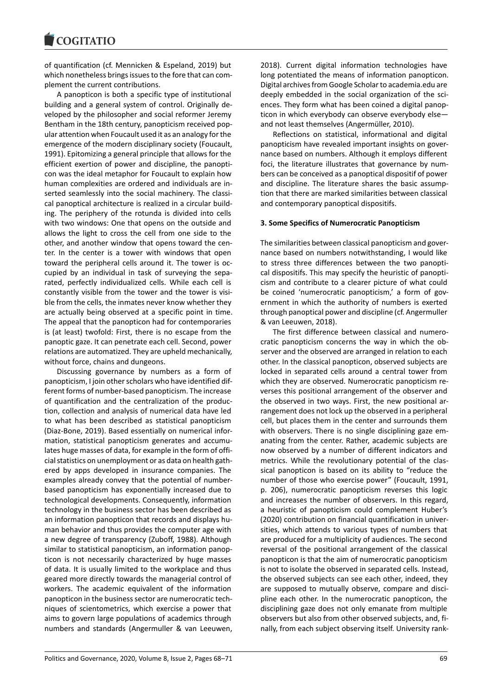of quantification (cf. Mennicken & Espeland, 2019) but which nonetheless brings issues to the fore that can complement the current contributions.

A panopticon is both a specific type of institutional building and a general system of control. Originally developed by the philosopher and social reformer Jeremy Bentham in the 18th century, panopticism received popular attention when Foucault used it as an analogy for the emergence of the modern disciplinary society (Foucault, 1991). Epitomizing a general principle that allows for the efficient exertion of power and discipline, the panopticon was the ideal metaphor for Foucault to explain how human complexities are ordered and individuals are inserted seamlessly into the social machinery. The classical panoptical architecture is realized in a circular building. The periphery of the rotunda is divided into cells with two windows: One that opens on the outside and allows the light to cross the cell from one side to the other, and another window that opens toward the center. In the center is a tower with windows that open toward the peripheral cells around it. The tower is occupied by an individual in task of surveying the separated, perfectly individualized cells. While each cell is constantly visible from the tower and the tower is visible from the cells, the inmates never know whether they are actually being observed at a specific point in time. The appeal that the panopticon had for contemporaries is (at least) twofold: First, there is no escape from the panoptic gaze. It can penetrate each cell. Second, power relations are automatized. They are upheld mechanically, without force, chains and dungeons.

Discussing governance by numbers as a form of panopticism, I join other scholars who have identified different forms of number-based panopticism. The increase of quantification and the centralization of the production, collection and analysis of numerical data have led to what has been described as statistical panopticism (Diaz-Bone, 2019). Based essentially on numerical information, statistical panopticism generates and accumulates huge masses of data, for example in the form of official statistics on unemployment or as data on health gathered by apps developed in insurance companies. The examples already convey that the potential of numberbased panopticism has exponentially increased due to technological developments. Consequently, information technology in the business sector has been described as an information panopticon that records and displays human behavior and thus provides the computer age with a new degree of transparency (Zuboff, 1988). Although similar to statistical panopticism, an information panopticon is not necessarily characterized by huge masses of data. It is usually limited to the workplace and thus geared more directly towards the managerial control of workers. The academic equivalent of the information panopticon in the business sector are numerocratic techniques of scientometrics, which exercise a power that aims to govern large populations of academics through numbers and standards (Angermuller & van Leeuwen, 2018). Current digital information technologies have long potentiated the means of information panopticon. Digital archives from Google Scholar to academia.edu are deeply embedded in the social organization of the sciences. They form what has been coined a digital panopticon in which everybody can observe everybody else and not least themselves (Angermüller, 2010).

Reflections on statistical, informational and digital panopticism have revealed important insights on governance based on numbers. Although it employs different foci, the literature illustrates that governance by numbers can be conceived as a panoptical dispositif of power and discipline. The literature shares the basic assumption that there are marked similarities between classical and contemporary panoptical dispositifs.

### **3. Some Specifics of Numerocratic Panopticism**

The similarities between classical panopticism and governance based on numbers notwithstanding, I would like to stress three differences between the two panoptical dispositifs. This may specify the heuristic of panopticism and contribute to a clearer picture of what could be coined 'numerocratic panopticism,' a form of government in which the authority of numbers is exerted through panoptical power and discipline (cf. Angermuller & van Leeuwen, 2018).

The first difference between classical and numerocratic panopticism concerns the way in which the observer and the observed are arranged in relation to each other. In the classical panopticon, observed subjects are locked in separated cells around a central tower from which they are observed. Numerocratic panopticism reverses this positional arrangement of the observer and the observed in two ways. First, the new positional arrangement does not lock up the observed in a peripheral cell, but places them in the center and surrounds them with observers. There is no single disciplining gaze emanating from the center. Rather, academic subjects are now observed by a number of different indicators and metrics. While the revolutionary potential of the classical panopticon is based on its ability to "reduce the number of those who exercise power" (Foucault, 1991, p. 206), numerocratic panopticism reverses this logic and increases the number of observers. In this regard, a heuristic of panopticism could complement Huber's (2020) contribution on financial quantification in universities, which attends to various types of numbers that are produced for a multiplicity of audiences. The second reversal of the positional arrangement of the classical panopticon is that the aim of numerocratic panopticism is not to isolate the observed in separated cells. Instead, the observed subjects can see each other, indeed, they are supposed to mutually observe, compare and discipline each other. In the numerocratic panopticon, the disciplining gaze does not only emanate from multiple observers but also from other observed subjects, and, finally, from each subject observing itself. University rank-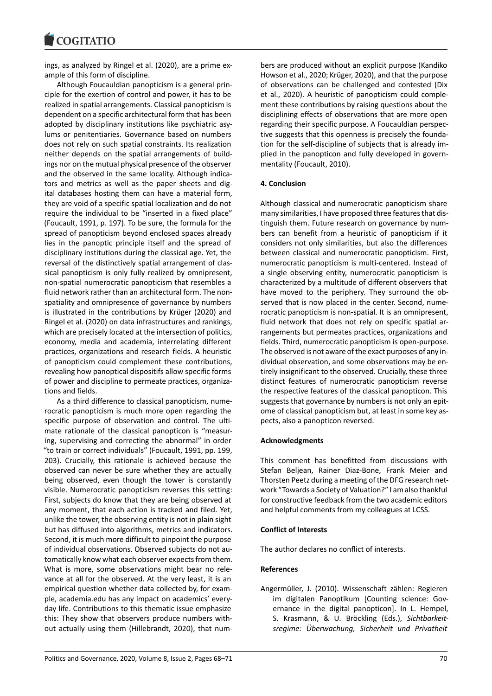#### COQUIATIO

ings, as analyzed by Ringel et al. (2020), are a prime example of this form of discipline.

Although Foucauldian panopticism is a general principle for the exertion of control and power, it has to be realized in spatial arrangements. Classical panopticism is dependent on a specific architectural form that has been adopted by disciplinary institutions like psychiatric asylums or penitentiaries. Governance based on numbers does not rely on such spatial constraints. Its realization neither depends on the spatial arrangements of buildings nor on the mutual physical presence of the observer and the observed in the same locality. Although indicators and metrics as well as the paper sheets and digital databases hosting them can have a material form, they are void of a specific spatial localization and do not require the individual to be "inserted in a fixed place" (Foucault, 1991, p. 197). To be sure, the formula for the spread of panopticism beyond enclosed spaces already lies in the panoptic principle itself and the spread of disciplinary institutions during the classical age. Yet, the reversal of the distinctively spatial arrangement of classical panopticism is only fully realized by omnipresent, non-spatial numerocratic panopticism that resembles a fluid network rather than an architectural form. The nonspatiality and omnipresence of governance by numbers is illustrated in the contributions by Krüger (2020) and Ringel et al. (2020) on data infrastructures and rankings, which are precisely located at the intersection of politics, economy, media and academia, interrelating different practices, organizations and research fields. A heuristic of panopticism could complement these contributions, revealing how panoptical dispositifs allow specific forms of power and discipline to permeate practices, organizations and fields.

As a third difference to classical panopticism, numerocratic panopticism is much more open regarding the specific purpose of observation and control. The ultimate rationale of the classical panopticon is "measuring, supervising and correcting the abnormal" in order "to train or correct individuals" (Foucault, 1991, pp. 199, 203). Crucially, this rationale is achieved because the observed can never be sure whether they are actually being observed, even though the tower is constantly visible. Numerocratic panopticism reverses this setting: First, subjects do know that they are being observed at any moment, that each action is tracked and filed. Yet, unlike the tower, the observing entity is not in plain sight but has diffused into algorithms, metrics and indicators. Second, it is much more difficult to pinpoint the purpose of individual observations. Observed subjects do not automatically know what each observer expects from them. What is more, some observations might bear no relevance at all for the observed. At the very least, it is an empirical question whether data collected by, for example, academia.edu has any impact on academics' everyday life. Contributions to this thematic issue emphasize this: They show that observers produce numbers without actually using them (Hillebrandt, 2020), that num-

bers are produced without an explicit purpose (Kandiko Howson et al., 2020; Krüger, 2020), and that the purpose of observations can be challenged and contested (Dix et al., 2020). A heuristic of panopticism could complement these contributions by raising questions about the disciplining effects of observations that are more open regarding their specific purpose. A Foucauldian perspective suggests that this openness is precisely the foundation for the self-discipline of subjects that is already implied in the panopticon and fully developed in governmentality (Foucault, 2010).

### **4. Conclusion**

Although classical and numerocratic panopticism share many similarities, I have proposed three features that distinguish them. Future research on governance by numbers can benefit from a heuristic of panopticism if it considers not only similarities, but also the differences between classical and numerocratic panopticism. First, numerocratic panopticism is multi-centered. Instead of a single observing entity, numerocratic panopticism is characterized by a multitude of different observers that have moved to the periphery. They surround the observed that is now placed in the center. Second, numerocratic panopticism is non-spatial. It is an omnipresent, fluid network that does not rely on specific spatial arrangements but permeates practices, organizations and fields. Third, numerocratic panopticism is open-purpose. The observed is not aware of the exact purposes of any individual observation, and some observations may be entirely insignificant to the observed. Crucially, these three distinct features of numerocratic panopticism reverse the respective features of the classical panopticon. This suggests that governance by numbers is not only an epitome of classical panopticism but, at least in some key aspects, also a panopticon reversed.

### **Acknowledgments**

This comment has benefitted from discussions with Stefan Beljean, Rainer Diaz-Bone, Frank Meier and Thorsten Peetz during a meeting of the DFG research network "Towards a Society of Valuation?" I am also thankful for constructive feedback from the two academic editors and helpful comments from my colleagues at LCSS.

### **Conflict of Interests**

The author declares no conflict of interests.

### **References**

Angermüller, J. (2010). Wissenschaft zählen: Regieren im digitalen Panoptikum [Counting science: Governance in the digital panopticon]. In L. Hempel, S. Krasmann, & U. Bröckling (Eds.), *Sichtbarkeitsregime: Überwachung, Sicherheit und Privatheit*